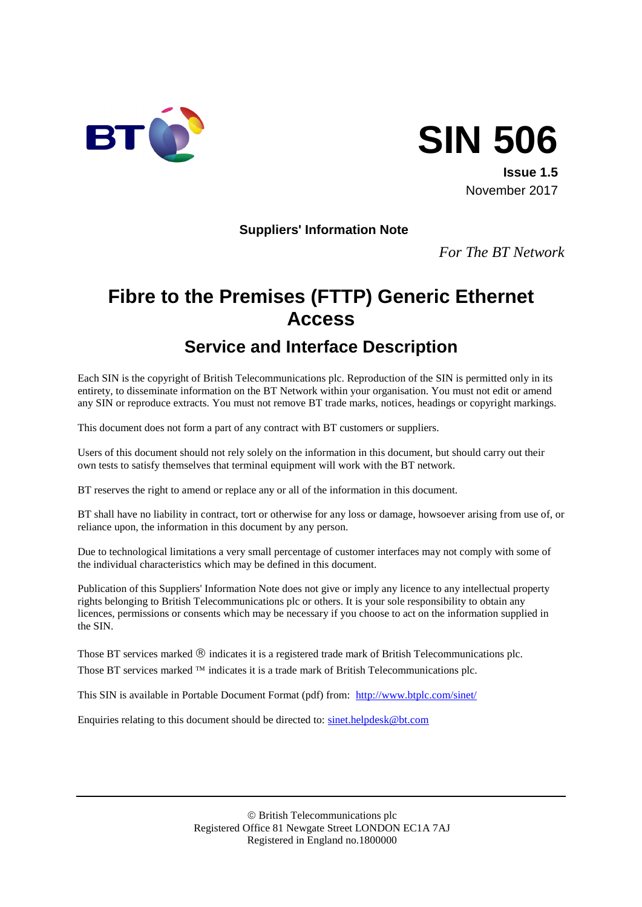

# **SIN 506**

**Issue 1.5** November 2017

#### **Suppliers' Information Note**

*For The BT Network*

# **Fibre to the Premises (FTTP) Generic Ethernet Access**

# **Service and Interface Description**

Each SIN is the copyright of British Telecommunications plc. Reproduction of the SIN is permitted only in its entirety, to disseminate information on the BT Network within your organisation. You must not edit or amend any SIN or reproduce extracts. You must not remove BT trade marks, notices, headings or copyright markings.

This document does not form a part of any contract with BT customers or suppliers.

Users of this document should not rely solely on the information in this document, but should carry out their own tests to satisfy themselves that terminal equipment will work with the BT network.

BT reserves the right to amend or replace any or all of the information in this document.

BT shall have no liability in contract, tort or otherwise for any loss or damage, howsoever arising from use of, or reliance upon, the information in this document by any person.

Due to technological limitations a very small percentage of customer interfaces may not comply with some of the individual characteristics which may be defined in this document.

Publication of this Suppliers' Information Note does not give or imply any licence to any intellectual property rights belonging to British Telecommunications plc or others. It is your sole responsibility to obtain any licences, permissions or consents which may be necessary if you choose to act on the information supplied in the SIN.

Those BT services marked  $\mathcal{D}$  indicates it is a registered trade mark of British Telecommunications plc. Those BT services marked  $TM$  indicates it is a trade mark of British Telecommunications plc.

This SIN is available in Portable Document Format (pdf) from: <http://www.btplc.com/sinet/>

Enquiries relating to this document should be directed to: [sinet.helpdesk@bt.com](mailto:sinet.helpdesk@bt.com)

 British Telecommunications plc Registered Office 81 Newgate Street LONDON EC1A 7AJ Registered in England no.1800000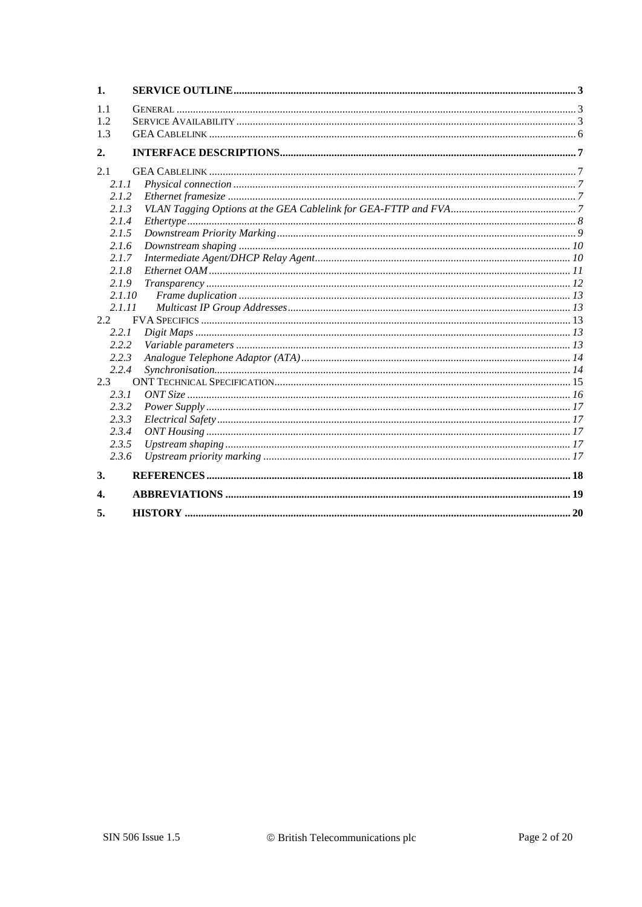| 1.     |  |
|--------|--|
| 1.1    |  |
| 1.2    |  |
| 1.3    |  |
| 2.     |  |
| 2.1    |  |
| 2.1.1  |  |
| 2.1.2  |  |
| 2.1.3  |  |
| 2.1.4  |  |
| 2.1.5  |  |
| 2.1.6  |  |
| 2.1.7  |  |
| 2.1.8  |  |
| 2.1.9  |  |
| 2.1.10 |  |
| 2.1.11 |  |
| 2.2    |  |
| 2.2.1  |  |
| 2.2.2  |  |
| 2.2.3  |  |
| 2.2.4  |  |
| 2.3    |  |
| 2.3.1  |  |
| 2.3.2  |  |
| 2.3.3  |  |
| 2.3.4  |  |
| 2.3.5  |  |
| 2.3.6  |  |
| 3.     |  |
| 4.     |  |
| 5.     |  |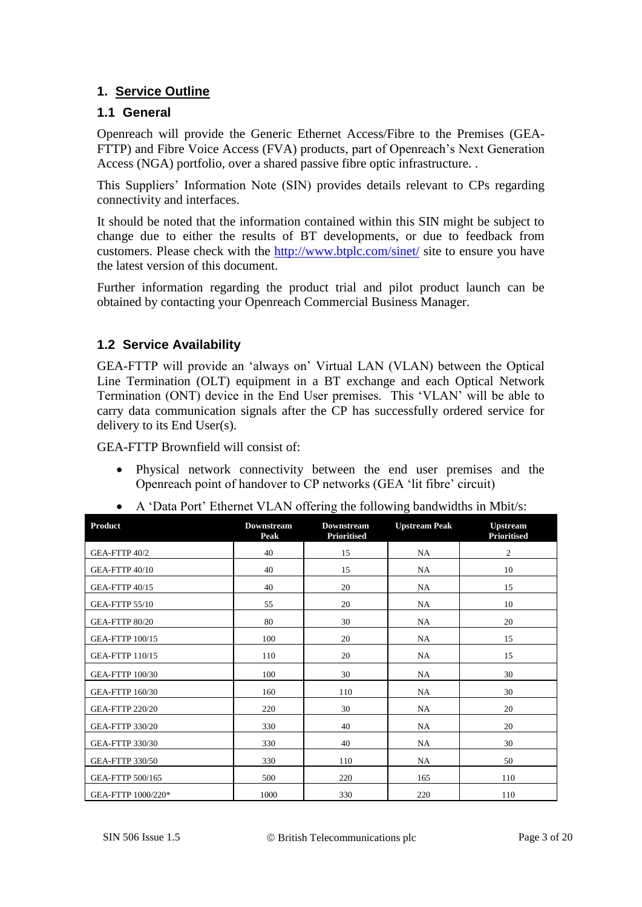#### **1. Service Outline**

#### **1.1 General**

Openreach will provide the Generic Ethernet Access/Fibre to the Premises (GEA-FTTP) and Fibre Voice Access (FVA) products, part of Openreach's Next Generation Access (NGA) portfolio, over a shared passive fibre optic infrastructure. .

This Suppliers' Information Note (SIN) provides details relevant to CPs regarding connectivity and interfaces.

It should be noted that the information contained within this SIN might be subject to change due to either the results of BT developments, or due to feedback from customers. Please check with the<http://www.btplc.com/sinet/> site to ensure you have the latest version of this document.

Further information regarding the product trial and pilot product launch can be obtained by contacting your Openreach Commercial Business Manager.

#### <span id="page-2-0"></span>**1.2 Service Availability**

GEA-FTTP will provide an 'always on' Virtual LAN (VLAN) between the Optical Line Termination (OLT) equipment in a BT exchange and each Optical Network Termination (ONT) device in the End User premises. This 'VLAN' will be able to carry data communication signals after the CP has successfully ordered service for delivery to its End User(s).

GEA-FTTP Brownfield will consist of:

 Physical network connectivity between the end user premises and the Openreach point of handover to CP networks (GEA 'lit fibre' circuit)

|  | • A 'Data Port' Ethernet VLAN offering the following bandwidths in Mbit/s: |  |  |  |  |  |  |  |
|--|----------------------------------------------------------------------------|--|--|--|--|--|--|--|
|--|----------------------------------------------------------------------------|--|--|--|--|--|--|--|

| <b>Product</b>         | <b>Downstream</b><br>Peak | <b>Downstream</b><br><b>Prioritised</b> | <b>Upstream Peak</b> | <b>Upstream</b><br><b>Prioritised</b> |
|------------------------|---------------------------|-----------------------------------------|----------------------|---------------------------------------|
| GEA-FTTP 40/2          | 40                        | 15                                      | NA                   | 2                                     |
| GEA-FTTP 40/10         | 40                        | 15                                      | NA.                  | 10                                    |
| GEA-FTTP 40/15         | 40                        | 20                                      | <b>NA</b>            | 15                                    |
| GEA-FTTP 55/10         | 55                        | 20                                      | NA                   | 10                                    |
| <b>GEA-FTTP 80/20</b>  | 80                        | 30                                      | NA                   | 20                                    |
| <b>GEA-FTTP 100/15</b> | 100                       | 20                                      | NA                   | 15                                    |
| <b>GEA-FTTP 110/15</b> | 110                       | 20                                      | NA                   | 15                                    |
| <b>GEA-FTTP 100/30</b> | 100                       | 30                                      | NA                   | 30                                    |
| <b>GEA-FTTP 160/30</b> | 160                       | 110                                     | NA                   | 30                                    |
| <b>GEA-FTTP 220/20</b> | 220                       | 30                                      | NA                   | 20                                    |
| <b>GEA-FTTP 330/20</b> | 330                       | 40                                      | NA                   | 20                                    |
| <b>GEA-FTTP 330/30</b> | 330                       | 40                                      | <b>NA</b>            | 30                                    |
| <b>GEA-FTTP 330/50</b> | 330                       | 110                                     | <b>NA</b>            | 50                                    |
| GEA-FTTP 500/165       | 500                       | 220                                     | 165                  | 110                                   |
| GEA-FTTP 1000/220*     | 1000                      | 330                                     | 220                  | 110                                   |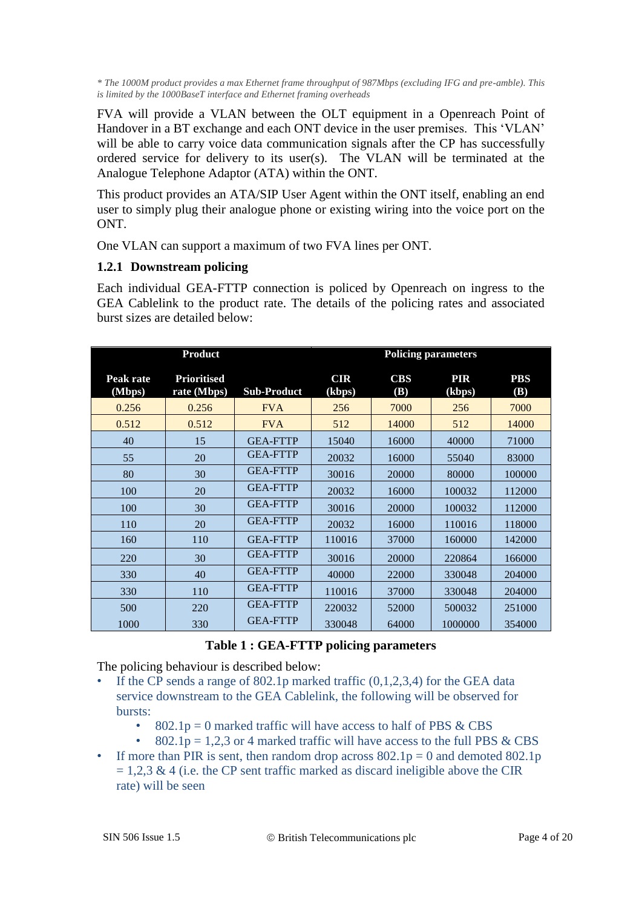*\* The 1000M product provides a max Ethernet frame throughput of 987Mbps (excluding IFG and pre-amble). This is limited by the 1000BaseT interface and Ethernet framing overheads*

FVA will provide a VLAN between the OLT equipment in a Openreach Point of Handover in a BT exchange and each ONT device in the user premises. This 'VLAN' will be able to carry voice data communication signals after the CP has successfully ordered service for delivery to its user(s). The VLAN will be terminated at the Analogue Telephone Adaptor (ATA) within the ONT.

This product provides an ATA/SIP User Agent within the ONT itself, enabling an end user to simply plug their analogue phone or existing wiring into the voice port on the ONT.

One VLAN can support a maximum of two FVA lines per ONT.

#### **1.2.1 Downstream policing**

Each individual GEA-FTTP connection is policed by Openreach on ingress to the GEA Cablelink to the product rate. The details of the policing rates and associated burst sizes are detailed [below:](#page-3-0)

| <b>Product</b>      |                                   |                    | <b>Policing parameters</b> |                          |                      |                   |
|---------------------|-----------------------------------|--------------------|----------------------------|--------------------------|----------------------|-------------------|
| Peak rate<br>(Mbps) | <b>Prioritised</b><br>rate (Mbps) | <b>Sub-Product</b> | <b>CIR</b><br>(kbps)       | <b>CBS</b><br><b>(B)</b> | <b>PIR</b><br>(kbps) | <b>PBS</b><br>(B) |
| 0.256               | 0.256                             | <b>FVA</b>         | 256                        | 7000                     | 256                  | 7000              |
| 0.512               | 0.512                             | <b>FVA</b>         | 512                        | 14000                    | 512                  | 14000             |
| 40                  | 15                                | <b>GEA-FTTP</b>    | 15040                      | 16000                    | 40000                | 71000             |
| 55                  | 20                                | <b>GEA-FTTP</b>    | 20032                      | 16000                    | 55040                | 83000             |
| 80                  | 30                                | <b>GEA-FTTP</b>    | 30016                      | 20000                    | 80000                | 100000            |
| 100                 | 20                                | <b>GEA-FTTP</b>    | 20032                      | 16000                    | 100032               | 112000            |
| 100                 | 30                                | <b>GEA-FTTP</b>    | 30016                      | 20000                    | 100032               | 112000            |
| 110                 | 20                                | <b>GEA-FTTP</b>    | 20032                      | 16000                    | 110016               | 118000            |
| 160                 | 110                               | <b>GEA-FTTP</b>    | 110016                     | 37000                    | 160000               | 142000            |
| 220                 | 30                                | <b>GEA-FTTP</b>    | 30016                      | 20000                    | 220864               | 166000            |
| 330                 | 40                                | <b>GEA-FTTP</b>    | 40000                      | 22000                    | 330048               | 204000            |
| 330                 | 110                               | <b>GEA-FTTP</b>    | 110016                     | 37000                    | 330048               | 204000            |
| 500                 | 220                               | <b>GEA-FTTP</b>    | 220032                     | 52000                    | 500032               | 251000            |
| 1000                | 330                               | <b>GEA-FTTP</b>    | 330048                     | 64000                    | 1000000              | 354000            |

#### **Table 1 : GEA-FTTP policing parameters**

<span id="page-3-0"></span>The policing behaviour is described below:

- If the CP sends a range of  $802.1p$  marked traffic  $(0,1,2,3,4)$  for the GEA data service downstream to the GEA Cablelink, the following will be observed for bursts:
	- $802.1p = 0$  marked traffic will have access to half of PBS & CBS
	- 802.1p = 1,2,3 or 4 marked traffic will have access to the full PBS  $& CBS$
- If more than PIR is sent, then random drop across  $802.1p = 0$  and demoted  $802.1p$  $= 1,2,3 \& 4$  (i.e. the CP sent traffic marked as discard ineligible above the CIR rate) will be seen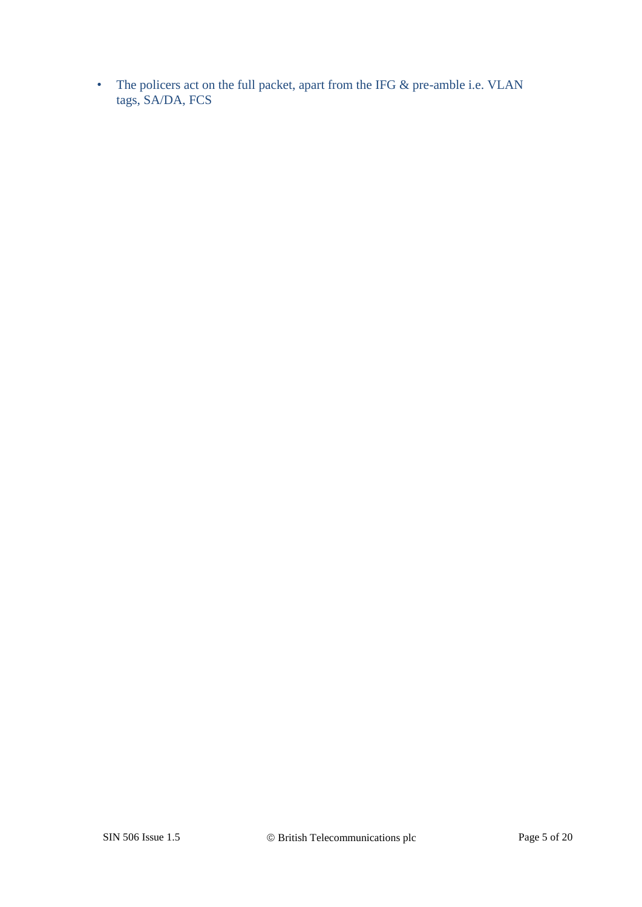• The policers act on the full packet, apart from the IFG & pre-amble i.e. VLAN tags, SA/DA, FCS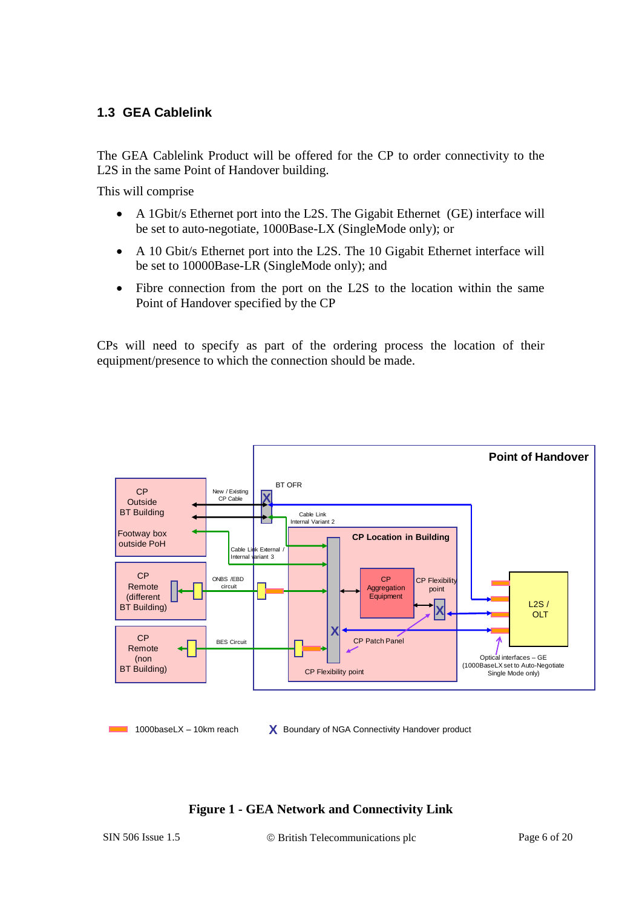#### **1.3 GEA Cablelink**

The GEA Cablelink Product will be offered for the CP to order connectivity to the L2S in the same Point of Handover building.

This will comprise

- A 1Gbit/s Ethernet port into the L2S. The Gigabit Ethernet (GE) interface will be set to auto-negotiate, 1000Base-LX (SingleMode only); or
- A 10 Gbit/s Ethernet port into the L2S. The 10 Gigabit Ethernet interface will be set to 10000Base-LR (SingleMode only); and
- Fibre connection from the port on the L2S to the location within the same Point of Handover specified by the CP

CPs will need to specify as part of the ordering process the location of their equipment/presence to which the connection should be made.



 $1000$ baseLX – 10km reach

**X** Boundary of NGA Connectivity Handover product

#### **Figure 1 - GEA Network and Connectivity Link**

SIN 506 Issue 1.5 © British Telecommunications plc Page 6 of 20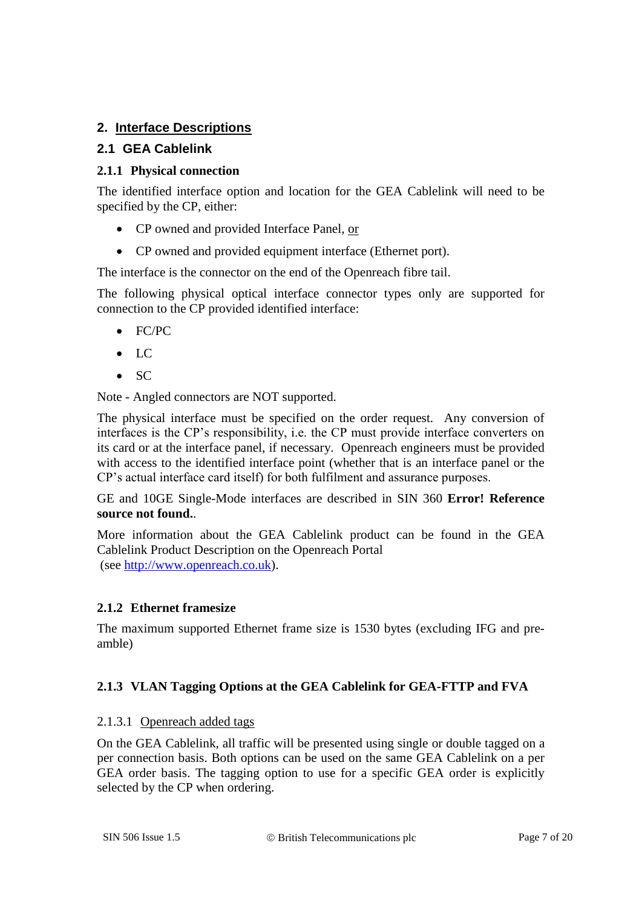#### **2. Interface Descriptions**

#### **2.1 GEA Cablelink**

#### **2.1.1 Physical connection**

The identified interface option and location for the GEA Cablelink will need to be specified by the CP, either:

- CP owned and provided Interface Panel, or
- CP owned and provided equipment interface (Ethernet port).

The interface is the connector on the end of the Openreach fibre tail.

The following physical optical interface connector types only are supported for connection to the CP provided identified interface:

- FC/PC
- $\bullet$  LC
- $\bullet$  SC

Note - Angled connectors are NOT supported.

The physical interface must be specified on the order request. Any conversion of interfaces is the CP's responsibility, i.e. the CP must provide interface converters on its card or at the interface panel, if necessary. Openreach engineers must be provided with access to the identified interface point (whether that is an interface panel or the CP's actual interface card itself) for both fulfilment and assurance purposes.

GE and 10GE Single-Mode interfaces are described in SIN 360 **Error! Reference source not found.**.

More information about the GEA Cablelink product can be found in the GEA Cablelink Product Description on the Openreach Portal (see [http://www.openreach.co.uk\)](http://www.openreach.co.uk/).

#### **2.1.2 Ethernet framesize**

The maximum supported Ethernet frame size is 1530 bytes (excluding IFG and preamble)

#### **2.1.3 VLAN Tagging Options at the GEA Cablelink for GEA-FTTP and FVA**

#### 2.1.3.1 Openreach added tags

On the GEA Cablelink, all traffic will be presented using single or double tagged on a per connection basis. Both options can be used on the same GEA Cablelink on a per GEA order basis. The tagging option to use for a specific GEA order is explicitly selected by the CP when ordering.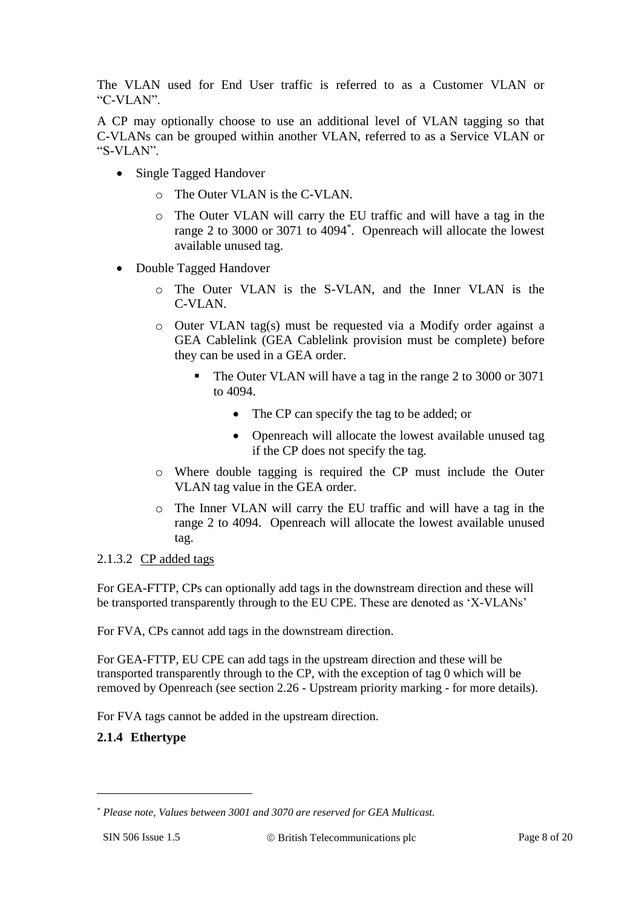The VLAN used for End User traffic is referred to as a Customer VLAN or "C-VLAN".

A CP may optionally choose to use an additional level of VLAN tagging so that C-VLANs can be grouped within another VLAN, referred to as a Service VLAN or "S-VLAN".

- Single Tagged Handover
	- o The Outer VLAN is the C-VLAN.
	- o The Outer VLAN will carry the EU traffic and will have a tag in the range 2 to 3000 or 3071 to 4094\* . Openreach will allocate the lowest available unused tag.
- Double Tagged Handover
	- o The Outer VLAN is the S-VLAN, and the Inner VLAN is the C-VLAN.
	- o Outer VLAN tag(s) must be requested via a Modify order against a GEA Cablelink (GEA Cablelink provision must be complete) before they can be used in a GEA order.
		- The Outer VLAN will have a tag in the range 2 to 3000 or 3071 to 4094.
			- The CP can specify the tag to be added; or
			- Openreach will allocate the lowest available unused tag if the CP does not specify the tag.
	- o Where double tagging is required the CP must include the Outer VLAN tag value in the GEA order.
	- o The Inner VLAN will carry the EU traffic and will have a tag in the range 2 to 4094. Openreach will allocate the lowest available unused tag.

#### 2.1.3.2 CP added tags

For GEA-FTTP, CPs can optionally add tags in the downstream direction and these will be transported transparently through to the EU CPE. These are denoted as 'X-VLANs'

For FVA, CPs cannot add tags in the downstream direction.

For GEA-FTTP, EU CPE can add tags in the upstream direction and these will be transported transparently through to the CP, with the exception of tag 0 which will be removed by Openreach (see section 2.26 - Upstream priority marking - for more details).

For FVA tags cannot be added in the upstream direction.

#### **2.1.4 Ethertype**

1

<sup>\*</sup> *Please note, Values between 3001 and 3070 are reserved for GEA Multicast.*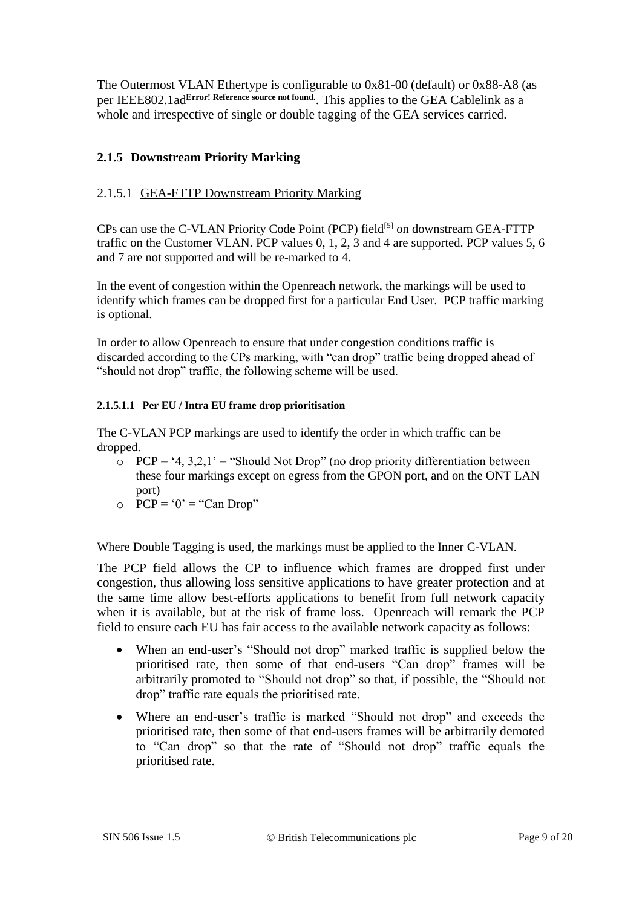The Outermost VLAN Ethertype is configurable to 0x81-00 (default) or 0x88-A8 (as per IEEE802.1ad**Error! Reference source not found.**. This applies to the GEA Cablelink as a whole and irrespective of single or double tagging of the GEA services carried.

#### **2.1.5 Downstream Priority Marking**

#### 2.1.5.1 GEA-FTTP Downstream Priority Marking

CPs can use the C-VLAN Priority Code Point (PCP) field<sup>[5]</sup> on downstream GEA-FTTP traffic on the Customer VLAN. PCP values 0, 1, 2, 3 and 4 are supported. PCP values 5, 6 and 7 are not supported and will be re-marked to 4.

In the event of congestion within the Openreach network, the markings will be used to identify which frames can be dropped first for a particular End User. PCP traffic marking is optional.

In order to allow Openreach to ensure that under congestion conditions traffic is discarded according to the CPs marking, with "can drop" traffic being dropped ahead of "should not drop" traffic, the following scheme will be used.

#### **2.1.5.1.1 Per EU / Intra EU frame drop prioritisation**

The C-VLAN PCP markings are used to identify the order in which traffic can be dropped.

- $\overrightarrow{O}$  PCP = '4, 3,2,1' = "Should Not Drop" (no drop priority differentiation between these four markings except on egress from the GPON port, and on the ONT LAN port)
- $\overline{P}$  PCP = '0' = "Can Drop"

Where Double Tagging is used, the markings must be applied to the Inner C-VLAN.

The PCP field allows the CP to influence which frames are dropped first under congestion, thus allowing loss sensitive applications to have greater protection and at the same time allow best-efforts applications to benefit from full network capacity when it is available, but at the risk of frame loss. Openreach will remark the PCP field to ensure each EU has fair access to the available network capacity as follows:

- When an end-user's "Should not drop" marked traffic is supplied below the prioritised rate, then some of that end-users "Can drop" frames will be arbitrarily promoted to "Should not drop" so that, if possible, the "Should not drop" traffic rate equals the prioritised rate.
- Where an end-user's traffic is marked "Should not drop" and exceeds the prioritised rate, then some of that end-users frames will be arbitrarily demoted to "Can drop" so that the rate of "Should not drop" traffic equals the prioritised rate.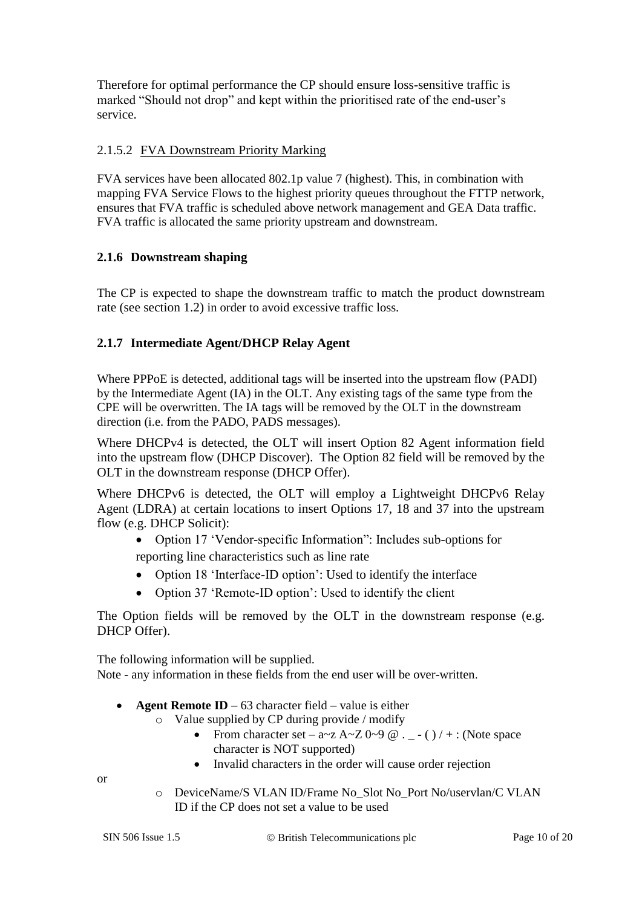Therefore for optimal performance the CP should ensure loss-sensitive traffic is marked "Should not drop" and kept within the prioritised rate of the end-user's service.

#### 2.1.5.2 FVA Downstream Priority Marking

FVA services have been allocated 802.1p value 7 (highest). This, in combination with mapping FVA Service Flows to the highest priority queues throughout the FTTP network, ensures that FVA traffic is scheduled above network management and GEA Data traffic. FVA traffic is allocated the same priority upstream and downstream.

#### **2.1.6 Downstream shaping**

The CP is expected to shape the downstream traffic to match the product downstream rate (see section [1.2\)](#page-2-0) in order to avoid excessive traffic loss.

#### **2.1.7 Intermediate Agent/DHCP Relay Agent**

Where PPPoE is detected, additional tags will be inserted into the upstream flow (PADI) by the Intermediate Agent (IA) in the OLT. Any existing tags of the same type from the CPE will be overwritten. The IA tags will be removed by the OLT in the downstream direction (i.e. from the PADO, PADS messages).

Where DHCPv4 is detected, the OLT will insert Option 82 Agent information field into the upstream flow (DHCP Discover). The Option 82 field will be removed by the OLT in the downstream response (DHCP Offer).

Where DHCPv6 is detected, the OLT will employ a Lightweight DHCPv6 Relay Agent (LDRA) at certain locations to insert Options 17, 18 and 37 into the upstream flow (e.g. DHCP Solicit):

- Option 17 'Vendor-specific Information": Includes sub-options for reporting line characteristics such as line rate
- Option 18 'Interface-ID option': Used to identify the interface
- Option 37 'Remote-ID option': Used to identify the client

The Option fields will be removed by the OLT in the downstream response (e.g. DHCP Offer).

The following information will be supplied. Note - any information in these fields from the end user will be over-written

- **Agent Remote ID** 63 character field value is either
	- o Value supplied by CP during provide / modify
		- From character set  $a \sim z$  A $\sim$ Z 0 $\sim$ 9 @ . \_ ( ) / + : (Note space character is NOT supported)
		- Invalid characters in the order will cause order rejection

or

o DeviceName/S VLAN ID/Frame No\_Slot No\_Port No/uservlan/C VLAN ID if the CP does not set a value to be used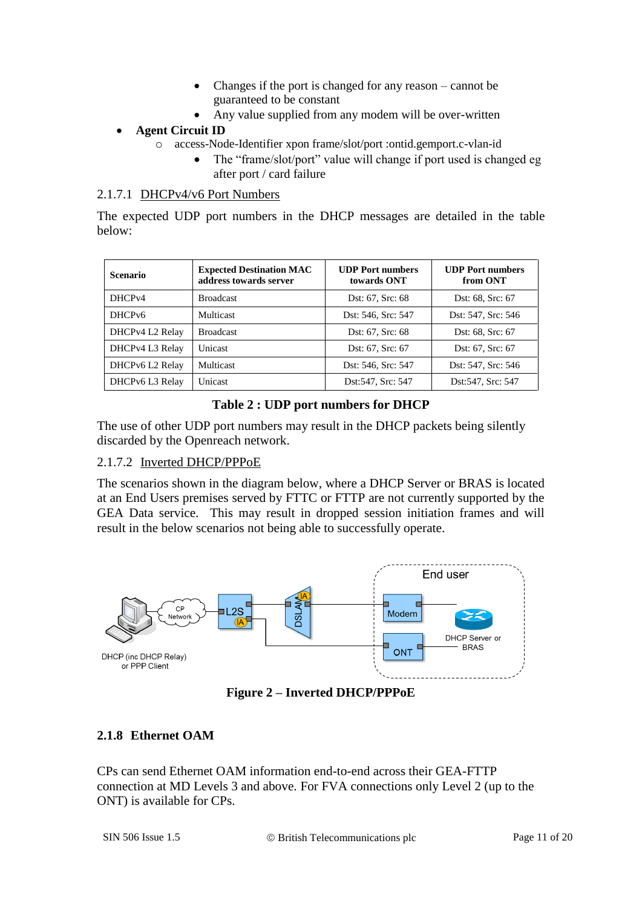- Changes if the port is changed for any reason cannot be guaranteed to be constant
- Any value supplied from any modem will be over-written

#### **Agent Circuit ID**

- o access-Node-Identifier xpon frame/slot/port :ontid.gemport.c-vlan-id
	- The "frame/slot/port" value will change if port used is changed eg after port / card failure

#### 2.1.7.1 DHCPv4/v6 Port Numbers

The expected UDP port numbers in the DHCP messages are detailed in the table below:

| <b>Scenario</b>    | <b>Expected Destination MAC</b><br>address towards server | <b>UDP</b> Port numbers<br>towards ONT | <b>UDP</b> Port numbers<br>from ONT |
|--------------------|-----------------------------------------------------------|----------------------------------------|-------------------------------------|
| DHCP <sub>v4</sub> | <b>Broadcast</b>                                          | Dst: 67, Src: 68                       | Dst: 68, Src: 67                    |
| DHCP <sub>v6</sub> | <b>Multicast</b>                                          | Dst: 546, Src: 547                     | Dst: 547, Src: 546                  |
| DHCPv4 L2 Relay    | <b>Broadcast</b>                                          | Dst: 67, Src: 68                       | Dst: 68, Src: 67                    |
| DHCPv4 L3 Relay    | Unicast                                                   | Dst: 67, Src: 67                       | Dst: 67, Src: 67                    |
| DHCPv6 L2 Relay    | <b>Multicast</b>                                          | Dst: 546, Src: 547                     | Dst: 547, Src: 546                  |
| DHCPv6 L3 Relay    | Unicast                                                   | Dst:547, Src: 547                      | Dst:547, Src: 547                   |

#### **Table 2 : UDP port numbers for DHCP**

The use of other UDP port numbers may result in the DHCP packets being silently discarded by the Openreach network.

#### 2.1.7.2 Inverted DHCP/PPPoE

The scenarios shown in the diagram below, where a DHCP Server or BRAS is located at an End Users premises served by FTTC or FTTP are not currently supported by the GEA Data service. This may result in dropped session initiation frames and will result in the below scenarios not being able to successfully operate.



**Figure 2 – Inverted DHCP/PPPoE**

#### **2.1.8 Ethernet OAM**

CPs can send Ethernet OAM information end-to-end across their GEA-FTTP connection at MD Levels 3 and above. For FVA connections only Level 2 (up to the ONT) is available for CPs.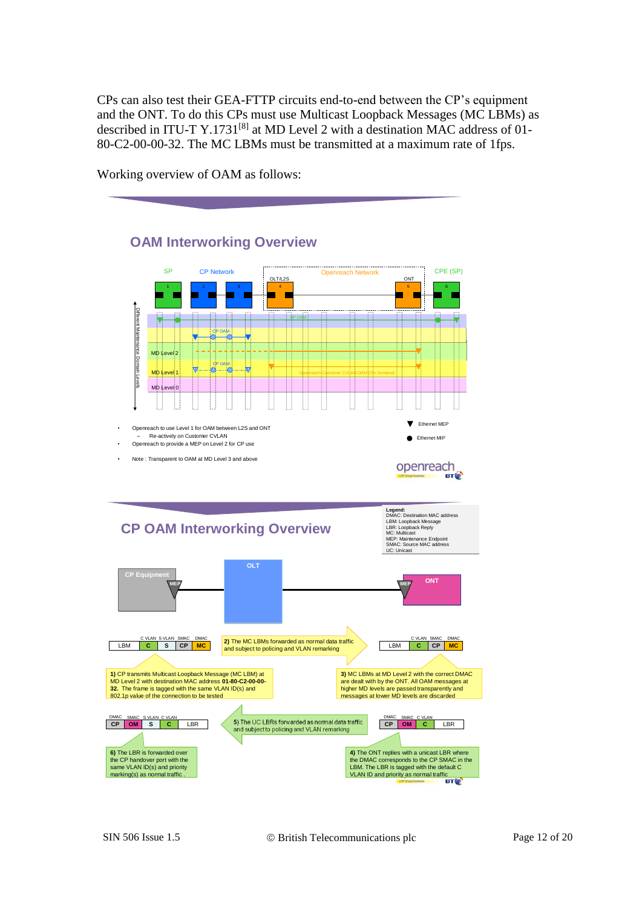CPs can also test their GEA-FTTP circuits end-to-end between the CP's equipment and the ONT. To do this CPs must use Multicast Loopback Messages (MC LBMs) as described in ITU-T Y.1731<sup>[8]</sup> at MD Level 2 with a destination MAC address of 01-80-C2-00-00-32. The MC LBMs must be transmitted at a maximum rate of 1fps.

Working overview of OAM as follows:

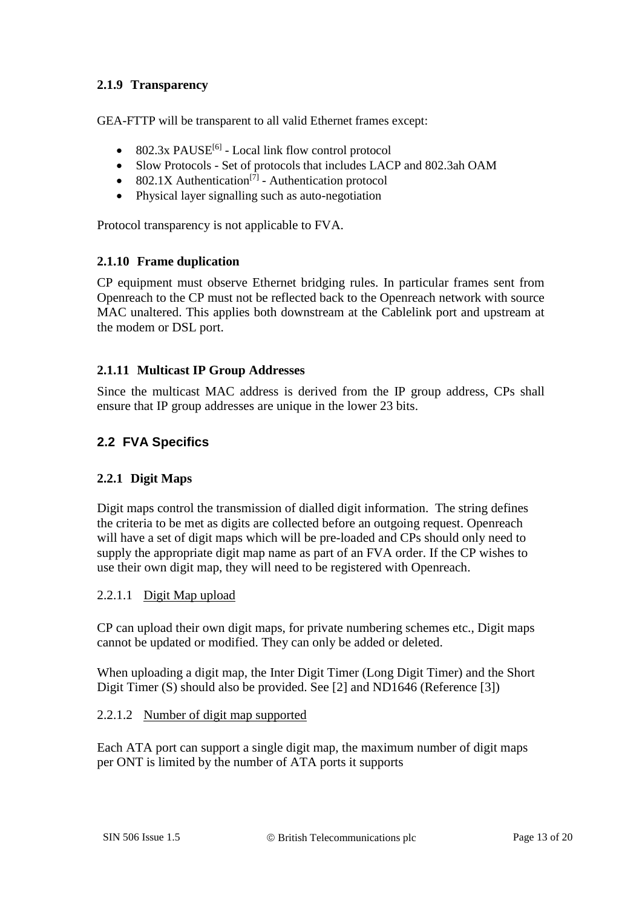#### **2.1.9 Transparency**

GEA-FTTP will be transparent to all valid Ethernet frames except:

- $\bullet$  802.3x PAUSE<sup>[6]</sup> Local link flow control protocol
- Slow Protocols Set of protocols that includes LACP and 802.3ah OAM
- 802.1X Authentication<sup>[7]</sup> Authentication protocol
- Physical layer signalling such as auto-negotiation

Protocol transparency is not applicable to FVA.

#### **2.1.10 Frame duplication**

CP equipment must observe Ethernet bridging rules. In particular frames sent from Openreach to the CP must not be reflected back to the Openreach network with source MAC unaltered. This applies both downstream at the Cablelink port and upstream at the modem or DSL port.

#### **2.1.11 Multicast IP Group Addresses**

Since the multicast MAC address is derived from the IP group address, CPs shall ensure that IP group addresses are unique in the lower 23 bits.

#### **2.2 FVA Specifics**

#### **2.2.1 Digit Maps**

Digit maps control the transmission of dialled digit information. The string defines the criteria to be met as digits are collected before an outgoing request. Openreach will have a set of digit maps which will be pre-loaded and CPs should only need to supply the appropriate digit map name as part of an FVA order. If the CP wishes to use their own digit map, they will need to be registered with Openreach.

#### 2.2.1.1 Digit Map upload

CP can upload their own digit maps, for private numbering schemes etc., Digit maps cannot be updated or modified. They can only be added or deleted.

When uploading a digit map, the Inter Digit Timer (Long Digit Timer) and the Short Digit Timer (S) should also be provided. See [2] and ND1646 (Reference [3])

#### 2.2.1.2 Number of digit map supported

Each ATA port can support a single digit map, the maximum number of digit maps per ONT is limited by the number of ATA ports it supports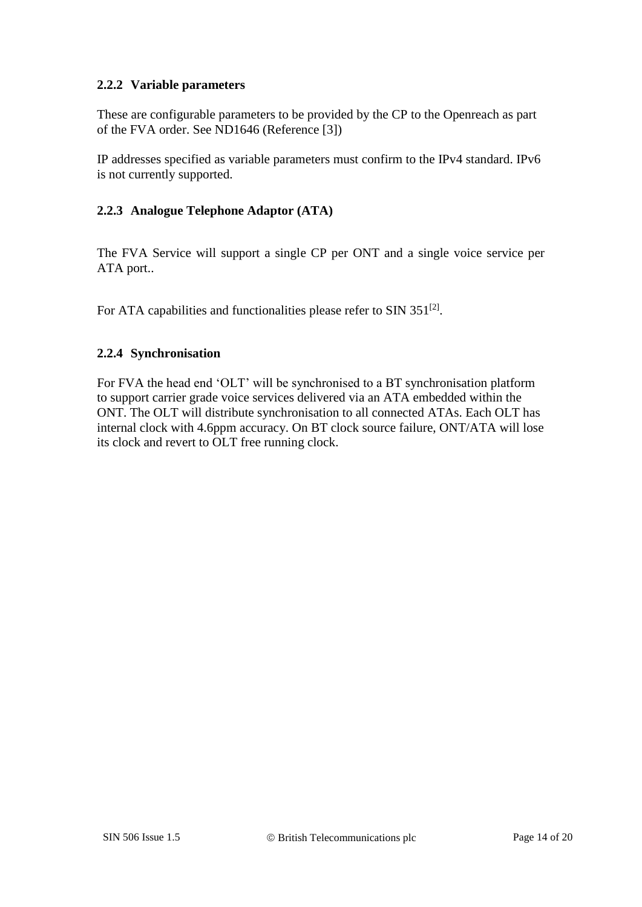#### **2.2.2 Variable parameters**

These are configurable parameters to be provided by the CP to the Openreach as part of the FVA order. See ND1646 (Reference [3])

IP addresses specified as variable parameters must confirm to the IPv4 standard. IPv6 is not currently supported.

#### **2.2.3 Analogue Telephone Adaptor (ATA)**

The FVA Service will support a single CP per ONT and a single voice service per ATA port..

For ATA capabilities and functionalities please refer to SIN  $351^{[2]}$ .

#### **2.2.4 Synchronisation**

For FVA the head end 'OLT' will be synchronised to a BT synchronisation platform to support carrier grade voice services delivered via an ATA embedded within the ONT. The OLT will distribute synchronisation to all connected ATAs. Each OLT has internal clock with 4.6ppm accuracy. On BT clock source failure, ONT/ATA will lose its clock and revert to OLT free running clock.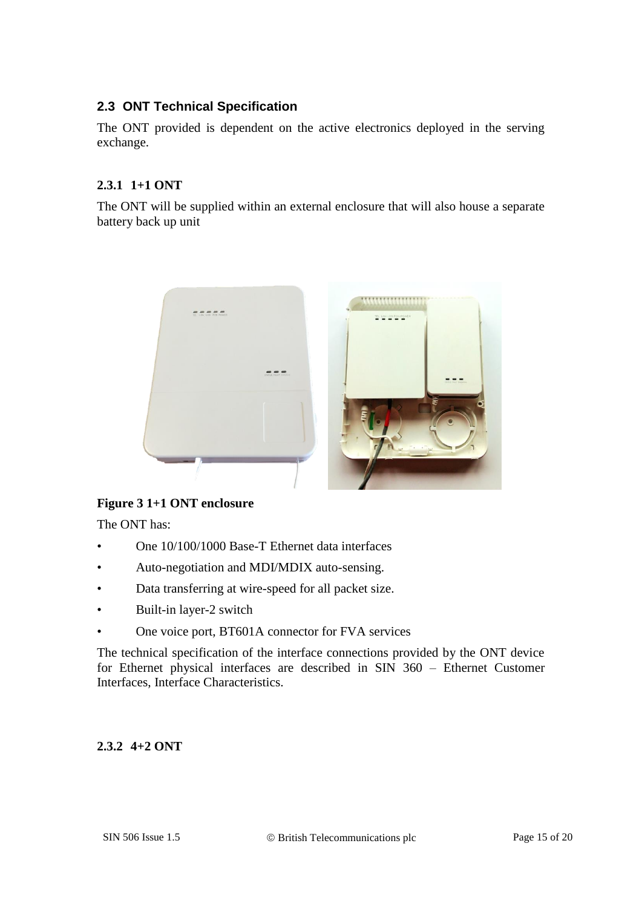#### **2.3 ONT Technical Specification**

The ONT provided is dependent on the active electronics deployed in the serving exchange.

#### **2.3.1 1+1 ONT**

The ONT will be supplied within an external enclosure that will also house a separate battery back up unit



#### **Figure 3 1+1 ONT enclosure**

The ONT has:

- One 10/100/1000 Base-T Ethernet data interfaces
- Auto-negotiation and MDI/MDIX auto-sensing.
- Data transferring at wire-speed for all packet size.
- Built-in layer-2 switch
- One voice port, BT601A connector for FVA services

The technical specification of the interface connections provided by the ONT device for Ethernet physical interfaces are described in SIN 360 – Ethernet Customer Interfaces, Interface Characteristics.

#### **2.3.2 4+2 ONT**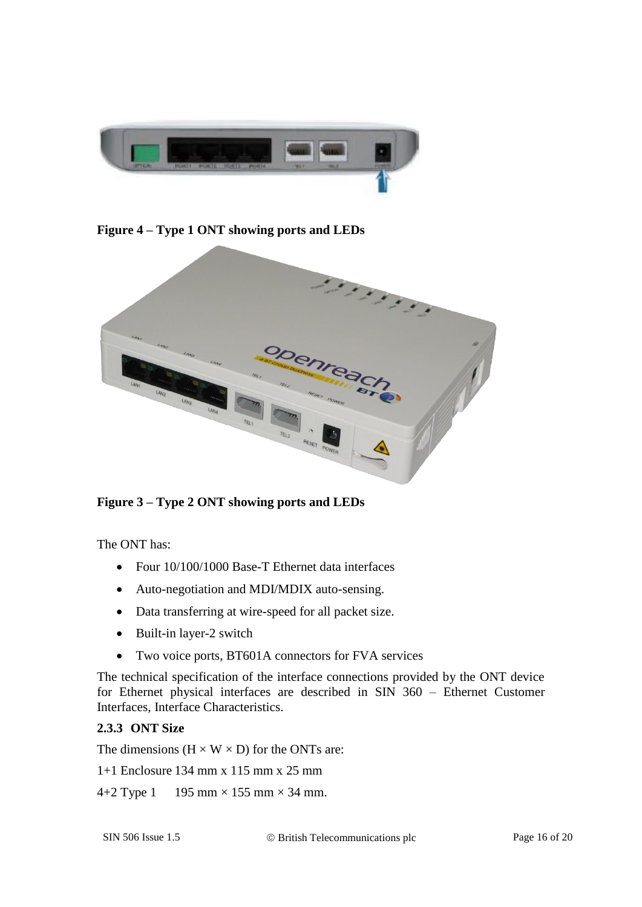

**Figure 4 – Type 1 ONT showing ports and LEDs**



**Figure 3 – Type 2 ONT showing ports and LEDs**

The ONT has:

- Four 10/100/1000 Base-T Ethernet data interfaces
- Auto-negotiation and MDI/MDIX auto-sensing.
- Data transferring at wire-speed for all packet size.
- Built-in layer-2 switch
- Two voice ports, BT601A connectors for FVA services

The technical specification of the interface connections provided by the ONT device for Ethernet physical interfaces are described in SIN 360 – Ethernet Customer Interfaces, Interface Characteristics.

#### **2.3.3 ONT Size**

The dimensions  $(H \times W \times D)$  for the ONTs are:

1+1 Enclosure 134 mm x 115 mm x 25 mm

4+2 Type 1 195 mm  $\times$  155 mm  $\times$  34 mm.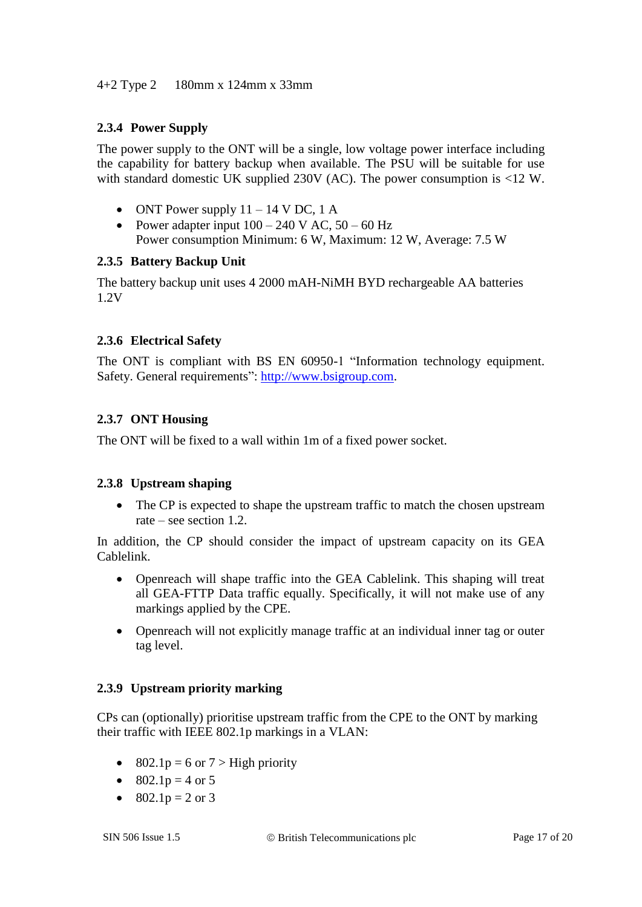#### **2.3.4 Power Supply**

The power supply to the ONT will be a single, low voltage power interface including the capability for battery backup when available. The PSU will be suitable for use with standard domestic UK supplied 230V (AC). The power consumption is <12 W.

- ONT Power supply  $11 14$  V DC, 1 A
- Power adapter input  $100 240$  V AC,  $50 60$  Hz Power consumption Minimum: 6 W, Maximum: 12 W, Average: 7.5 W

#### **2.3.5 Battery Backup Unit**

The battery backup unit uses 4 2000 mAH-NiMH BYD rechargeable AA batteries 1.2V

#### **2.3.6 Electrical Safety**

The ONT is compliant with BS EN 60950-1 "Information technology equipment. Safety. General requirements": [http://www.bsigroup.com.](http://www.bsigroup.com/)

#### **2.3.7 ONT Housing**

The ONT will be fixed to a wall within 1m of a fixed power socket.

#### **2.3.8 Upstream shaping**

• The CP is expected to shape the upstream traffic to match the chosen upstream rate – see section [1.2.](#page-2-0)

In addition, the CP should consider the impact of upstream capacity on its GEA Cablelink.

- Openreach will shape traffic into the GEA Cablelink. This shaping will treat all GEA-FTTP Data traffic equally. Specifically, it will not make use of any markings applied by the CPE.
- Openreach will not explicitly manage traffic at an individual inner tag or outer tag level.

#### **2.3.9 Upstream priority marking**

CPs can (optionally) prioritise upstream traffic from the CPE to the ONT by marking their traffic with IEEE 802.1p markings in a VLAN:

- 802.1p = 6 or  $7 >$  High priority
- $802.1p = 4$  or 5
- $802.1p = 2$  or 3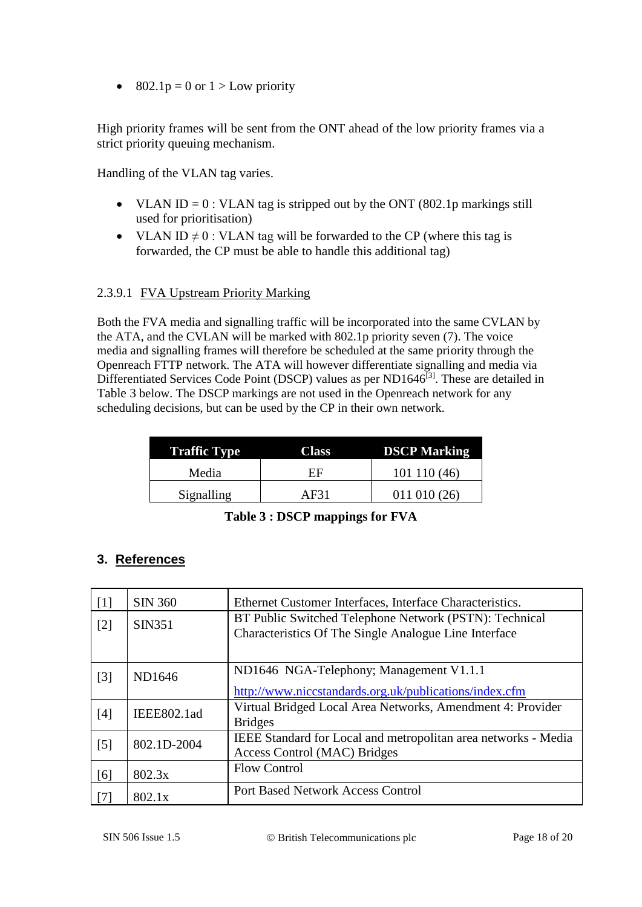$\bullet$  802.1p = 0 or 1 > Low priority

High priority frames will be sent from the ONT ahead of the low priority frames via a strict priority queuing mechanism.

Handling of the VLAN tag varies.

- VLAN ID =  $0:$  VLAN tag is stripped out by the ONT (802.1p markings still used for prioritisation)
- VLAN ID  $\neq$  0 : VLAN tag will be forwarded to the CP (where this tag is forwarded, the CP must be able to handle this additional tag)

#### 2.3.9.1 FVA Upstream Priority Marking

Both the FVA media and signalling traffic will be incorporated into the same CVLAN by the ATA, and the CVLAN will be marked with 802.1p priority seven (7). The voice media and signalling frames will therefore be scheduled at the same priority through the Openreach FTTP network. The ATA will however differentiate signalling and media via Differentiated Services Code Point (DSCP) values as per  $ND1646^{[3]}$ . These are detailed in [Table 3](#page-17-0) below. The DSCP markings are not used in the Openreach network for any scheduling decisions, but can be used by the CP in their own network.

| <b>Traffic Type</b> | <b>Class</b> | <b>DSCP Marking</b> |
|---------------------|--------------|---------------------|
| Media               | FF           | 101110(46)          |
| Signalling          | AF31         | $011\ 010\ (26)$    |

|  |  | Table 3 : DSCP mappings for FVA |  |  |
|--|--|---------------------------------|--|--|
|--|--|---------------------------------|--|--|

#### <span id="page-17-0"></span>**3. References**

| $[1]$             | <b>SIN 360</b> | Ethernet Customer Interfaces, Interface Characteristics.                                                        |
|-------------------|----------------|-----------------------------------------------------------------------------------------------------------------|
| $[2]$             | <b>SIN351</b>  | BT Public Switched Telephone Network (PSTN): Technical<br>Characteristics Of The Single Analogue Line Interface |
| $[3]$             | ND1646         | ND1646 NGA-Telephony; Management V1.1.1<br>http://www.niccstandards.org.uk/publications/index.cfm               |
| [4]               | IEEE802.1ad    | Virtual Bridged Local Area Networks, Amendment 4: Provider<br><b>Bridges</b>                                    |
| $\lceil 5 \rceil$ | 802.1D-2004    | IEEE Standard for Local and metropolitan area networks - Media<br>Access Control (MAC) Bridges                  |
| [6]               | 802.3x         | <b>Flow Control</b>                                                                                             |
| $[7]$             | 802.1x         | <b>Port Based Network Access Control</b>                                                                        |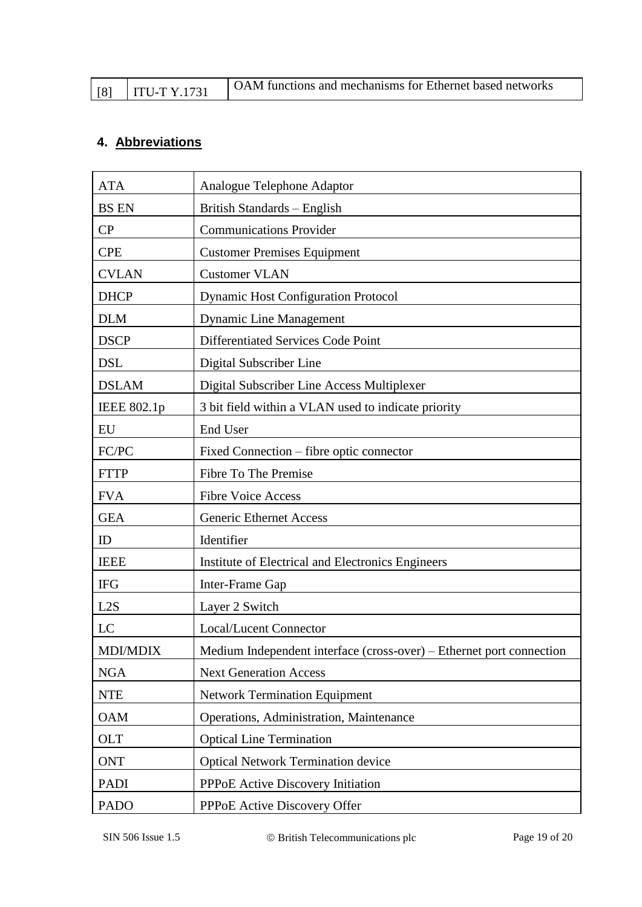|  | $\overline{ITU-TY.1731}$ | OAM functions and mechanisms for Ethernet based networks |
|--|--------------------------|----------------------------------------------------------|
|--|--------------------------|----------------------------------------------------------|

# **4. Abbreviations**

| <b>ATA</b>      | Analogue Telephone Adaptor                                           |
|-----------------|----------------------------------------------------------------------|
| <b>BS EN</b>    | British Standards - English                                          |
| CP              | <b>Communications Provider</b>                                       |
| <b>CPE</b>      | <b>Customer Premises Equipment</b>                                   |
| <b>CVLAN</b>    | <b>Customer VLAN</b>                                                 |
| <b>DHCP</b>     | <b>Dynamic Host Configuration Protocol</b>                           |
| <b>DLM</b>      | <b>Dynamic Line Management</b>                                       |
| <b>DSCP</b>     | Differentiated Services Code Point                                   |
| <b>DSL</b>      | Digital Subscriber Line                                              |
| <b>DSLAM</b>    | Digital Subscriber Line Access Multiplexer                           |
| IEEE 802.1p     | 3 bit field within a VLAN used to indicate priority                  |
| EU              | <b>End User</b>                                                      |
| FC/PC           | Fixed Connection – fibre optic connector                             |
| <b>FTTP</b>     | Fibre To The Premise                                                 |
| <b>FVA</b>      | <b>Fibre Voice Access</b>                                            |
| <b>GEA</b>      | <b>Generic Ethernet Access</b>                                       |
| ID              | Identifier                                                           |
| <b>IEEE</b>     | Institute of Electrical and Electronics Engineers                    |
| <b>IFG</b>      | Inter-Frame Gap                                                      |
| L2S             | Layer 2 Switch                                                       |
| LC              | <b>Local/Lucent Connector</b>                                        |
| <b>MDI/MDIX</b> | Medium Independent interface (cross-over) – Ethernet port connection |
| <b>NGA</b>      | <b>Next Generation Access</b>                                        |
| <b>NTE</b>      | <b>Network Termination Equipment</b>                                 |
| <b>OAM</b>      | Operations, Administration, Maintenance                              |
| <b>OLT</b>      | <b>Optical Line Termination</b>                                      |
| <b>ONT</b>      | <b>Optical Network Termination device</b>                            |
| <b>PADI</b>     | PPPoE Active Discovery Initiation                                    |
| <b>PADO</b>     | PPPoE Active Discovery Offer                                         |